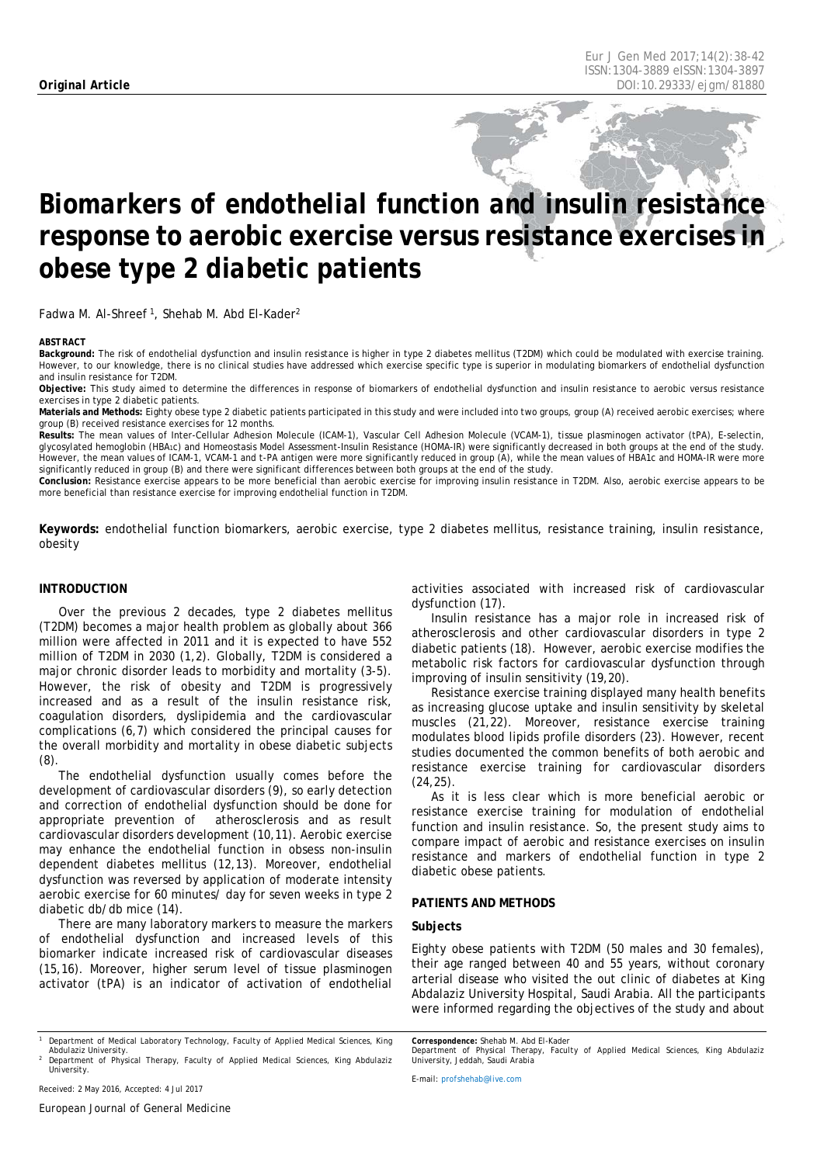# *Biomarkers of endothelial function and insulin resistance response to aerobic exercise versus resistance exercises in obese type 2 diabetic patients*

Fadwa M. Al-Shreef<sup>1</sup>, Shehab M. Abd El-Kader<sup>2</sup>

#### <span id="page-0-0"></span>*ABSTRACT*

**Background:** The risk of endothelial dysfunction and insulin resistance is higher in type 2 diabetes mellitus (T2DM) which could be modulated with exercise training. However, to our knowledge, there is no clinical studies have addressed which exercise specific type is superior in modulating biomarkers of endothelial dysfunction and insulin resistance for T2DM.

**Objective:** This study aimed to determine the differences in response of biomarkers of endothelial dysfunction and insulin resistance to aerobic versus resistance exercises in type 2 diabetic patients.

**Materials and Methods:** Eighty obese type 2 diabetic patients participated in this study and were included into two groups, group (A) received aerobic exercises; where group (B) received resistance exercises for 12 months.

**Results:** The mean values of Inter-Cellular Adhesion Molecule (ICAM-1), Vascular Cell Adhesion Molecule (VCAM-1), tissue plasminogen activator (tPA), E-selectin, glycosylated hemoglobin (HBA<sub>1C</sub>) and Homeostasis Model Assessment-Insulin Resistance (HOMA-IR) were significantly decreased in both groups at the end of the study. However, the mean values of ICAM-1, VCAM-1 and t-PA antigen were more significantly reduced in group (A), while the mean values of HBA1c and HOMA-IR were more significantly reduced in group (B) and there were significant differences between both groups at the end of the study.

**Conclusion:** Resistance exercise appears to be more beneficial than aerobic exercise for improving insulin resistance in T2DM. Also, aerobic exercise appears to be more beneficial than resistance exercise for improving endothelial function in T2DM.

**Keywords:** endothelial function biomarkers, aerobic exercise, type 2 diabetes mellitus, resistance training, insulin resistance, obesity

# **INTRODUCTION**

Over the previous 2 decades, type 2 diabetes mellitus (T2DM) becomes a major health problem as globally about 366 million were affected in 2011 and it is expected to have 552 million of T2DM in 2030 (1,2). Globally, T2DM is considered a major chronic disorder leads to morbidity and mortality (3-5). However, the risk of obesity and T2DM is progressively increased and as a result of the insulin resistance risk, coagulation disorders, dyslipidemia and the cardiovascular complications (6,7) which considered the principal causes for the overall morbidity and mortality in obese diabetic subjects  $(8)$ 

The endothelial dysfunction usually comes before the development of cardiovascular disorders (9), so early detection and correction of endothelial dysfunction should be done for appropriate prevention of atherosclerosis and as result cardiovascular disorders development (10,11). Aerobic exercise may enhance the endothelial function in obsess non-insulin dependent diabetes mellitus (12,13). Moreover, endothelial dysfunction was reversed by application of moderate intensity aerobic exercise for 60 minutes/ day for seven weeks in type 2 diabetic db/db mice (14).

There are many laboratory markers to measure the markers of endothelial dysfunction and increased levels of this biomarker indicate increased risk of cardiovascular diseases (15,16). Moreover, higher serum level of tissue plasminogen activator (tPA) is an indicator of activation of endothelial activities associated with increased risk of cardiovascular dysfunction (17).

Insulin resistance has a major role in increased risk of atherosclerosis and other cardiovascular disorders in type 2 diabetic patients (18). However, aerobic exercise modifies the metabolic risk factors for cardiovascular dysfunction through improving of insulin sensitivity (19,20).

Resistance exercise training displayed many health benefits as increasing glucose uptake and insulin sensitivity by skeletal muscles (21,22). Moreover, resistance exercise training modulates blood lipids profile disorders (23). However, recent studies documented the common benefits of both aerobic and resistance exercise training for cardiovascular disorders (24,25).

As it is less clear which is more beneficial aerobic or resistance exercise training for modulation of endothelial function and insulin resistance. So, the present study aims to compare impact of aerobic and resistance exercises on insulin resistance and markers of endothelial function in type 2 diabetic obese patients.

### **PATIENTS AND METHODS**

#### **Subjects**

Eighty obese patients with T2DM (50 males and 30 females), their age ranged between 40 and 55 years, without coronary arterial disease who visited the out clinic of diabetes at King Abdalaziz University Hospital, Saudi Arabia. All the participants were informed regarding the objectives of the study and about

*Correspondence: Shehab M. Abd El-Kader*

*Department of Physical Therapy, Faculty of Applied Medical Sciences, King Abdulaziz University, Jeddah, Saudi Arabia*

*E-mail[: profshehab@live.com](mailto:profshehab@live.com)*

*University.*

*<sup>1</sup> Department of Medical Laboratory Technology, Faculty of Applied Medical Sciences, King Abdulaziz University. <sup>2</sup> Department of Physical Therapy, Faculty of Applied Medical Sciences, King Abdulaziz*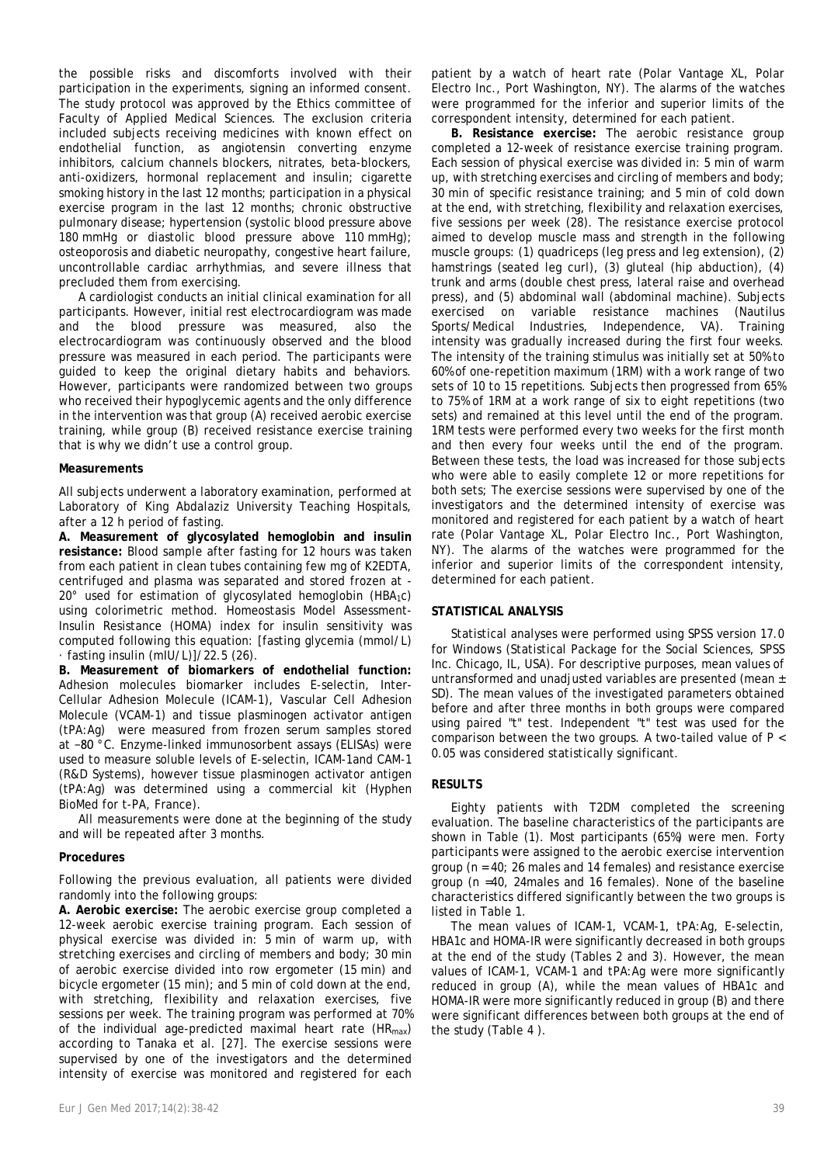the possible risks and discomforts involved with their participation in the experiments, signing an informed consent. The study protocol was approved by the Ethics committee of Faculty of Applied Medical Sciences. The exclusion criteria included subjects receiving medicines with known effect on endothelial function, as angiotensin converting enzyme inhibitors, calcium channels blockers, nitrates, beta-blockers, anti-oxidizers, hormonal replacement and insulin; cigarette smoking history in the last 12 months; participation in a physical exercise program in the last 12 months; chronic obstructive pulmonary disease; hypertension (systolic blood pressure above 180 mmHg or diastolic blood pressure above 110 mmHg); osteoporosis and diabetic neuropathy, congestive heart failure, uncontrollable cardiac arrhythmias, and severe illness that precluded them from exercising.

A cardiologist conducts an initial clinical examination for all participants. However, initial rest electrocardiogram was made and the blood pressure was measured, also the electrocardiogram was continuously observed and the blood pressure was measured in each period. The participants were guided to keep the original dietary habits and behaviors. However, participants were randomized between two groups who received their hypoglycemic agents and the only difference in the intervention was that group (A) received aerobic exercise training, while group (B) received resistance exercise training that is why we didn't use a control group.

# **Measurements**

All subjects underwent a laboratory examination, performed at Laboratory of King Abdalaziz University Teaching Hospitals, after a 12 h period of fasting.

**A. Measurement of glycosylated hemoglobin and insulin resistance:** Blood sample after fasting for 12 hours was taken from each patient in clean tubes containing few mg of K2EDTA, centrifuged and plasma was separated and stored frozen at - 20° used for estimation of glycosylated hemoglobin (HBA1c) using colorimetric method. Homeostasis Model Assessment-Insulin Resistance (HOMA) index for insulin sensitivity was computed following this equation: [fasting glycemia (mmol/L)  $\cdot$  fasting insulin (mIU/L)]/22.5 (26).

**B. Measurement of biomarkers of endothelial function:** Adhesion molecules biomarker includes E-selectin, Inter-Cellular Adhesion Molecule (ICAM-1), Vascular Cell Adhesion Molecule (VCAM-1) and tissue plasminogen activator antigen (tPA:Ag) were measured from frozen serum samples stored at −80 °C. Enzyme-linked immunosorbent assays (ELISAs) were used to measure soluble levels of E-selectin, ICAM-1and CAM-1 (R&D Systems), however tissue plasminogen activator antigen (tPA:Ag) was determined using a commercial kit (Hyphen BioMed for t-PA, France).

All measurements were done at the beginning of the study and will be repeated after 3 months.

#### **Procedures**

Following the previous evaluation, all patients were divided randomly into the following groups:

**A. Aerobic exercise:** The aerobic exercise group completed a 12-week aerobic exercise training program. Each session of physical exercise was divided in: 5 min of warm up, with stretching exercises and circling of members and body; 30 min of aerobic exercise divided into row ergometer (15 min) and bicycle ergometer (15 min); and 5 min of cold down at the end, with stretching, flexibility and relaxation exercises, five sessions per week. The training program was performed at 70% of the individual age-predicted maximal heart rate ( $HR_{max}$ ) according to Tanaka et al. [27]. The exercise sessions were supervised by one of the investigators and the determined intensity of exercise was monitored and registered for each

patient by a watch of heart rate (Polar Vantage XL, Polar Electro Inc., Port Washington, NY). The alarms of the watches were programmed for the inferior and superior limits of the correspondent intensity, determined for each patient.

**B. Resistance exercise:** The aerobic resistance group completed a 12-week of resistance exercise training program. Each session of physical exercise was divided in: 5 min of warm up, with stretching exercises and circling of members and body; 30 min of specific resistance training; and 5 min of cold down at the end, with stretching, flexibility and relaxation exercises, five sessions per week (28). The resistance exercise protocol aimed to develop muscle mass and strength in the following muscle groups: (1) quadriceps (leg press and leg extension), (2) hamstrings (seated leg curl), (3) gluteal (hip abduction), (4) trunk and arms (double chest press, lateral raise and overhead press), and (5) abdominal wall (abdominal machine). Subjects exercised on variable resistance machines (Nautilus Sports/Medical Industries, Independence, VA). Training intensity was gradually increased during the first four weeks. The intensity of the training stimulus was initially set at 50% to 60% of one-repetition maximum (1RM) with a work range of two sets of 10 to 15 repetitions. Subjects then progressed from 65% to 75% of 1RM at a work range of six to eight repetitions (two sets) and remained at this level until the end of the program. 1RM tests were performed every two weeks for the first month and then every four weeks until the end of the program. Between these tests, the load was increased for those subjects who were able to easily complete 12 or more repetitions for both sets; The exercise sessions were supervised by one of the investigators and the determined intensity of exercise was monitored and registered for each patient by a watch of heart rate (Polar Vantage XL, Polar Electro Inc., Port Washington, NY). The alarms of the watches were programmed for the inferior and superior limits of the correspondent intensity, determined for each patient.

#### **STATISTICAL ANALYSIS**

Statistical analyses were performed using SPSS version 17.0 for Windows (Statistical Package for the Social Sciences, SPSS Inc. Chicago, IL, USA). For descriptive purposes, mean values of untransformed and unadjusted variables are presented (mean ± SD). The mean values of the investigated parameters obtained before and after three months in both groups were compared using paired "t" test. Independent "t" test was used for the comparison between the two groups. A two-tailed value of P < 0.05 was considered statistically significant.

# **RESULTS**

Eighty patients with T2DM completed the screening evaluation. The baseline characteristics of the participants are shown in Table (1). Most participants (65%) were men. Forty participants were assigned to the aerobic exercise intervention group (n = 40; 26 males and 14 females) and resistance exercise group (n =40, 24males and 16 females). None of the baseline characteristics differed significantly between the two groups is listed in Table 1.

The mean values of ICAM-1, VCAM-1, tPA:Ag, E-selectin, HBA1c and HOMA-IR were significantly decreased in both groups at the end of the study (Tables 2 and 3). However, the mean values of ICAM-1, VCAM-1 and tPA:Ag were more significantly reduced in group (A), while the mean values of HBA1c and HOMA-IR were more significantly reduced in group (B) and there were significant differences between both groups at the end of the study (Table 4 ).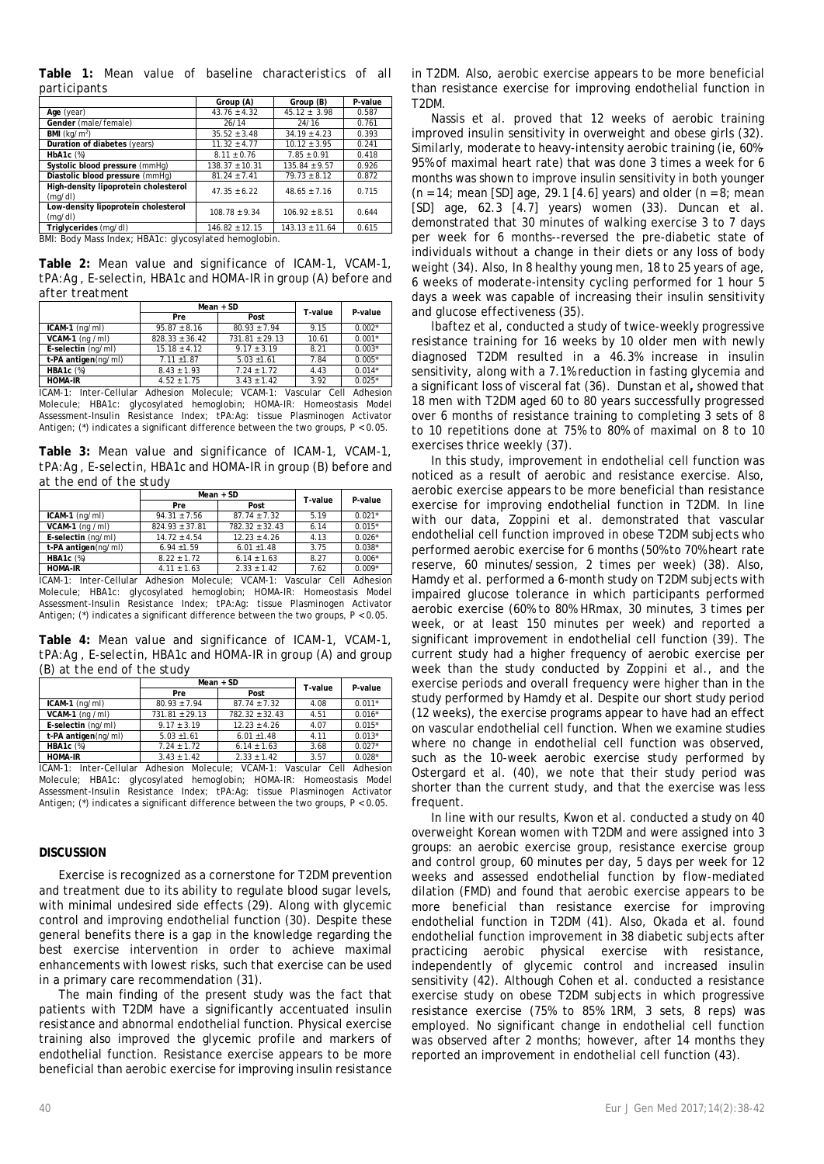**Table 1:** *Mean value of baseline characteristics of all participants*

|                                                             | Group (A)          | Group (B)          | P-value |  |
|-------------------------------------------------------------|--------------------|--------------------|---------|--|
| Age (year)                                                  | $43.76 \pm 4.32$   | $45.12 \pm 3.98$   | 0.587   |  |
| Gender (male/female)                                        | 26/14              | 24/16              | 0.761   |  |
| <b>BMI</b> ( $kq/m^2$ )                                     | $35.52 + 3.48$     | $34.19 + 4.23$     | 0.393   |  |
| Duration of diabetes (years)                                | $11.32 \pm 4.77$   | $10.12 + 3.95$     | 0.241   |  |
| $HbA1c$ $(\%)$                                              | $8.11 \pm 0.76$    | $7.85 \pm 0.91$    | 0.418   |  |
| Systolic blood pressure (mmHg)                              | $138.37 + 10.31$   | $135.84 + 9.57$    | 0.926   |  |
| Diastolic blood pressure (mmHq)                             | $81.24 \pm 7.41$   | $79.73 \pm 8.12$   | 0.872   |  |
| High-density lipoprotein cholesterol<br>(mq/dl)             | $47.35 + 6.22$     | $48.65 + 7.16$     | 0.715   |  |
| Low-density lipoprotein cholesterol<br>(mq/dl)              | $108.78 + 9.34$    | $106.92 + 8.51$    | 0.644   |  |
| Triglycerides (mg/dl)                                       | $146.82 \pm 12.15$ | $143.13 \pm 11.64$ | 0.615   |  |
| <b>PML: Rody Mass Indox: URA1s: alvegeviated bemoglebin</b> |                    |                    |         |  |

BMI: Body Mass Index; HBA1c: glycosylated hemoglobin.

**Table 2:** *Mean value and significance of ICAM-1, VCAM-1, tPA:Ag , E-selectin, HBA1c and HOMA-IR in group (A) before and after treatment*

|                                                                           | $Mean + SD$        |                    | T-value | P-value  |
|---------------------------------------------------------------------------|--------------------|--------------------|---------|----------|
|                                                                           | Pre                | Post               |         |          |
| $ICAM-1$ (ng/ml)                                                          | $95.87 \pm 8.16$   | $80.93 \pm 7.94$   | 9.15    | $0.002*$ |
| $VCAM-1$ (ng /ml)                                                         | $828.33 \pm 36.42$ | $731.81 \pm 29.13$ | 10.61   | $0.001*$ |
| E-selectin (ng/ml)                                                        | $15.18 \pm 4.12$   | $9.17 + 3.19$      | 8.21    | $0.003*$ |
| t-PA antigen(ng/ml)                                                       | $7.11 \pm 1.87$    | $5.03 \pm 1.61$    | 7.84    | $0.005*$ |
| <b>HBA1c</b> (%)                                                          | $8.43 \pm 1.93$    | $7.24 + 1.72$      | 4.43    | $0.014*$ |
| <b>HOMA-IR</b>                                                            | $4.52 \pm 1.75$    | $3.43 \pm 1.42$    | 3.92    | $0.025*$ |
| ICAM-1: Inter-Cellular Adhesion Molecule; VCAM-1: Vascular Cell Adhesion  |                    |                    |         |          |
| Molecule; HBA1c: glycosylated hemoglobin; HOMA-IR: Homeostasis Model      |                    |                    |         |          |
| Assessment-Insulin Resistance Index: tPA:Ag: tissue Plasminogen Activator |                    |                    |         |          |

Antigen: (\*) indicates a significant difference between the two groups,  $P < 0.05$ .

**Table 3:** *Mean value and significance of ICAM-1, VCAM-1, tPA:Ag , E-selectin, HBA1c and HOMA-IR in group (B) before and at the end of the study*

|                                                                           | $Mean + SD$        |                    | T-value | P-value  |
|---------------------------------------------------------------------------|--------------------|--------------------|---------|----------|
|                                                                           | Pre                | Post               |         |          |
| $ICAM-1$ (ng/ml)                                                          | $94.31 \pm 7.56$   | $87.74 \pm 7.32$   | 5.19    | $0.021*$ |
| $VCAM-1$ (ng /ml)                                                         | $824.93 \pm 37.81$ | $782.32 \pm 32.43$ | 6.14    | $0.015*$ |
| E-selectin (ng/ml)                                                        | $14.72 \pm 4.54$   | $12.23 \pm 4.26$   | 4.13    | $0.026*$ |
| t-PA antigen(ng/ml)                                                       | $6.94 \pm 1.59$    | $6.01 \pm 1.48$    | 3.75    | $0.038*$ |
| <b>HBA1c</b> (%)                                                          | $8.22 + 1.72$      | $6.14 + 1.63$      | 8.27    | $0.006*$ |
| <b>HOMA-IR</b>                                                            | $4.11 \pm 1.63$    | $2.33 \pm 1.42$    | 7.62    | $0.009*$ |
| ICAM-1: Inter-Cellular Adhesion Molecule; VCAM-1: Vascular Cell Adhesion  |                    |                    |         |          |
| Molecule; HBA1c: glycosylated hemoglobin; HOMA-IR: Homeostasis Model      |                    |                    |         |          |
| Assessment-Insulin Resistance Index; tPA:Ag: tissue Plasminogen Activator |                    |                    |         |          |

Antigen; (\*) indicates a significant difference between the two groups, P < 0.05.

**Table 4:** *Mean value and significance of ICAM-1, VCAM-1, tPA:Ag , E-selectin, HBA1c and HOMA-IR in group (A) and group (B) at the end of the study*

|                     | $Mean + SD$        |                  | T-value | P-value  |
|---------------------|--------------------|------------------|---------|----------|
|                     | Pre                | Post             |         |          |
| $ICAM-1$ (ng/ml)    | $80.93 \pm 7.94$   | $87.74 + 7.32$   | 4.08    | $0.011*$ |
| $VCAM-1$ (ng /ml)   | $731.81 \pm 29.13$ | $782.32 + 32.43$ | 4.51    | $0.016*$ |
| E-selectin (ng/ml)  | $9.17 + 3.19$      | $12.23 + 4.26$   | 4.07    | $0.015*$ |
| t-PA antigen(ng/ml) | $5.03 \pm 1.61$    | $6.01 + 1.48$    | 4.11    | $0.013*$ |
| $HBA1c$ $(\%)$      | $7.24 + 1.72$      | $6.14 + 1.63$    | 3.68    | $0.027*$ |
| <b>HOMA-IR</b>      | $3.43 + 1.42$      | $2.33 + 1.42$    | 3.57    | $0.028*$ |

ICAM-1: Inter-Cellular Adhesion Molecule; VCAM-1: Vascular Cell Adhesion Molecule; HBA1c: glycosylated hemoglobin; HOMA-IR: Homeostasis Model Assessment-Insulin Resistance Index; tPA:Ag: tissue Plasminogen Activator Antigen; ( $*$ ) indicates a significant difference between the two groups,  $P < 0.05$ .

#### **DISCUSSION**

Exercise is recognized as a cornerstone for T2DM prevention and treatment due to its ability to regulate blood sugar levels, with minimal undesired side effects (29). Along with glycemic control and improving endothelial function (30). Despite these general benefits there is a gap in the knowledge regarding the best exercise intervention in order to achieve maximal enhancements with lowest risks, such that exercise can be used in a primary care recommendation (31).

The main finding of the present study was the fact that patients with T2DM have a significantly accentuated insulin resistance and abnormal endothelial function. Physical exercise training also improved the glycemic profile and markers of endothelial function. Resistance exercise appears to be more beneficial than aerobic exercise for improving insulin resistance

in T2DM. Also, aerobic exercise appears to be more beneficial than resistance exercise for improving endothelial function in T2DM.

Nassis et al. proved that 12 weeks of aerobic training improved insulin sensitivity in overweight and obese girls (32). Similarly, moderate to heavy-intensity aerobic training (ie, 60%- 95% of maximal heart rate) that was done 3 times a week for 6 months was shown to improve insulin sensitivity in both younger  $(n = 14;$  mean [SD] age, 29.1 [4.6] years) and older  $(n = 8;$  mean [SD] age, 62.3 [4.7] years) women (33). Duncan et al. demonstrated that 30 minutes of walking exercise 3 to 7 days per week for 6 months--reversed the pre-diabetic state of individuals without a change in their diets or any loss of body weight (34). Also, In 8 healthy young men, 18 to 25 years of age, 6 weeks of moderate-intensity cycling performed for 1 hour 5 days a week was capable of increasing their insulin sensitivity and glucose effectiveness (35).

lbaftez et al, conducted a study of twice-weekly progressive resistance training for 16 weeks by 10 older men with newly diagnosed T2DM resulted in a 46.3% increase in insulin sensitivity, along with a 7.1% reduction in fasting glycemia and a significant loss of visceral fat (36). Dunstan et al**,** showed that 18 men with T2DM aged 60 to 80 years successfully progressed over 6 months of resistance training to completing 3 sets of 8 to 10 repetitions done at 75% to 80% of maximal on 8 to 10 exercises thrice weekly (37).

In this study, improvement in endothelial cell function was noticed as a result of aerobic and resistance exercise. Also, aerobic exercise appears to be more beneficial than resistance exercise for improving endothelial function in T2DM. In line with our data, Zoppini et al. demonstrated that vascular endothelial cell function improved in obese T2DM subjects who performed aerobic exercise for 6 months (50% to 70% heart rate reserve, 60 minutes/session, 2 times per week) (38). Also, Hamdy et al. performed a 6-month study on T2DM subjects with impaired glucose tolerance in which participants performed aerobic exercise (60% to 80% HRmax, 30 minutes, 3 times per week, or at least 150 minutes per week) and reported a significant improvement in endothelial cell function (39). The current study had a higher frequency of aerobic exercise per week than the study conducted by Zoppini et al., and the exercise periods and overall frequency were higher than in the study performed by Hamdy et al. Despite our short study period (12 weeks), the exercise programs appear to have had an effect on vascular endothelial cell function. When we examine studies where no change in endothelial cell function was observed, such as the 10-week aerobic exercise study performed by Ostergard et al. (40), we note that their study period was shorter than the current study, and that the exercise was less frequent.

In line with our results, Kwon et al. conducted a study on 40 overweight Korean women with T2DM and were assigned into 3 groups: an aerobic exercise group, resistance exercise group and control group, 60 minutes per day, 5 days per week for 12 weeks and assessed endothelial function by flow-mediated dilation (FMD) and found that aerobic exercise appears to be more beneficial than resistance exercise for improving endothelial function in T2DM (41). Also, Okada et al. found endothelial function improvement in 38 diabetic subjects after practicing aerobic physical exercise with resistance, independently of glycemic control and increased insulin sensitivity (42). Although Cohen et al. conducted a resistance exercise study on obese T2DM subjects in which progressive resistance exercise (75% to 85% 1RM, 3 sets, 8 reps) was employed. No significant change in endothelial cell function was observed after 2 months; however, after 14 months they reported an improvement in endothelial cell function (43).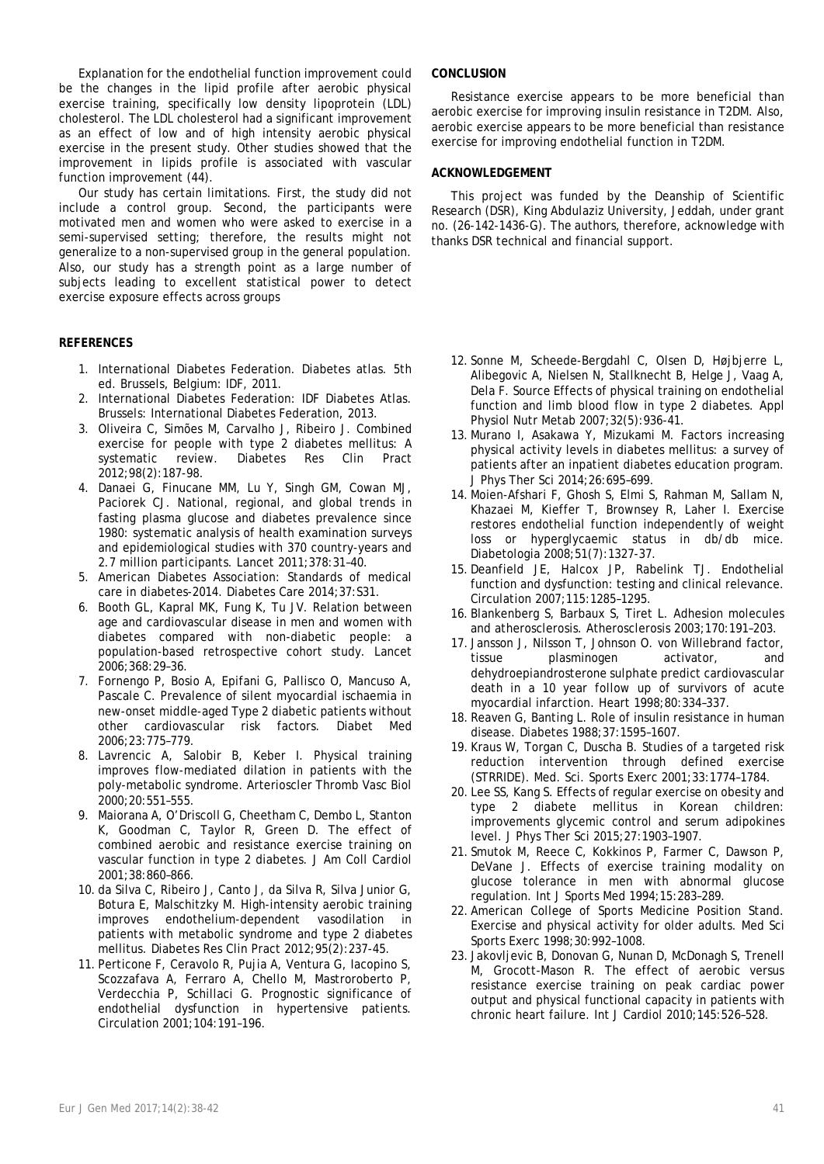Explanation for the endothelial function improvement could be the changes in the lipid profile after aerobic physical exercise training, specifically low density lipoprotein (LDL) cholesterol. The LDL cholesterol had a significant improvement as an effect of low and of high intensity aerobic physical exercise in the present study. Other studies showed that the improvement in lipids profile is associated with vascular function improvement (44).

Our study has certain limitations. First, the study did not include a control group. Second, the participants were motivated men and women who were asked to exercise in a semi-supervised setting; therefore, the results might not generalize to a non-supervised group in the general population. Also, our study has a strength point as a large number of subjects leading to excellent statistical power to detect exercise exposure effects across groups

# **REFERENCES**

- 1. International Diabetes Federation. Diabetes atlas. 5th ed. Brussels, Belgium: IDF, 2011.
- 2. International Diabetes Federation: IDF Diabetes Atlas. Brussels: International Diabetes Federation, 2013.
- 3. Oliveira C, Simões M, Carvalho J, Ribeiro J. Combined exercise for people with type 2 diabetes mellitus: A systematic review. Diabetes Res Clin Pract 2012;98(2):187-98.
- 4. Danaei G, Finucane MM, Lu Y, Singh GM, Cowan MJ, Paciorek CJ. National, regional, and global trends in fasting plasma glucose and diabetes prevalence since 1980: systematic analysis of health examination surveys and epidemiological studies with 370 country-years and 2.7 million participants. Lancet 2011;378:31–40.
- 5. American Diabetes Association: Standards of medical care in diabetes-2014. Diabetes Care 2014;37:S31.
- 6. Booth GL, Kapral MK, Fung K, Tu JV. Relation between age and cardiovascular disease in men and women with diabetes compared with non-diabetic people: a population-based retrospective cohort study. Lancet 2006;368:29–36.
- 7. Fornengo P, Bosio A, Epifani G, Pallisco O, Mancuso A, Pascale C. Prevalence of silent myocardial ischaemia in new-onset middle-aged Type 2 diabetic patients without other cardiovascular risk factors. Diabet Med 2006;23:775–779.
- 8. Lavrencic A, Salobir B, Keber I. Physical training improves flow-mediated dilation in patients with the poly-metabolic syndrome. Arterioscler Thromb Vasc Biol 2000;20:551–555.
- 9. Maiorana A, O'Driscoll G, Cheetham C, Dembo L, Stanton K, Goodman C, Taylor R, Green D. The effect of combined aerobic and resistance exercise training on vascular function in type 2 diabetes. J Am Coll Cardiol 2001;38:860–866.
- 10. da Silva C, Ribeiro J, Canto J, da Silva R, Silva Junior G, Botura E, Malschitzky M. High-intensity aerobic training improves endothelium-dependent vasodilation in patients with metabolic syndrome and type 2 diabetes mellitus. Diabetes Res Clin Pract 2012;95(2):237-45.
- 11. Perticone F, Ceravolo R, Pujia A, Ventura G, Iacopino S, Scozzafava A, Ferraro A, Chello M, Mastroroberto P, Verdecchia P, Schillaci G. Prognostic significance of endothelial dysfunction in hypertensive patients. Circulation 2001;104:191–196.

#### **CONCLUSION**

Resistance exercise appears to be more beneficial than aerobic exercise for improving insulin resistance in T2DM. Also, aerobic exercise appears to be more beneficial than resistance exercise for improving endothelial function in T2DM.

#### **ACKNOWLEDGEMENT**

This project was funded by the Deanship of Scientific Research (DSR), King Abdulaziz University, Jeddah, under grant no. (26-142-1436-G). The authors, therefore, acknowledge with thanks DSR technical and financial support.

- 12. Sonne M, Scheede-Bergdahl C, Olsen D, Højbjerre L, Alibegovic A, Nielsen N, Stallknecht B, Helge J, Vaag A, Dela F. Source Effects of physical training on endothelial function and limb blood flow in type 2 diabetes. Appl Physiol Nutr Metab 2007;32(5):936-41.
- 13. Murano I, Asakawa Y, Mizukami M. Factors increasing physical activity levels in diabetes mellitus: a survey of patients after an inpatient diabetes education program. J Phys Ther Sci 2014;26:695–699.
- 14. Moien-Afshari F, Ghosh S, Elmi S, Rahman M, Sallam N, Khazaei M, Kieffer T, Brownsey R, Laher I. Exercise restores endothelial function independently of weight loss or hyperglycaemic status in db/db mice. Diabetologia 2008;51(7):1327-37.
- 15. Deanfield JE, Halcox JP, Rabelink TJ. Endothelial function and dysfunction: testing and clinical relevance. Circulation 2007;115:1285–1295.
- 16. Blankenberg S, Barbaux S, Tiret L. Adhesion molecules and atherosclerosis. Atherosclerosis 2003;170:191–203.
- 17. Jansson J, Nilsson T, Johnson O. von Willebrand factor, tissue plasminogen activator, and dehydroepiandrosterone sulphate predict cardiovascular death in a 10 year follow up of survivors of acute myocardial infarction. Heart 1998;80:334–337.
- 18. Reaven G, Banting L. Role of insulin resistance in human disease. Diabetes 1988;37:1595–1607.
- 19. Kraus W, Torgan C, Duscha B. Studies of a targeted risk reduction intervention through defined exercise (STRRIDE). Med. Sci. Sports Exerc 2001;33:1774–1784.
- 20. Lee SS, Kang S. Effects of regular exercise on obesity and type 2 diabete mellitus in Korean children: improvements glycemic control and serum adipokines level. J Phys Ther Sci 2015;27:1903–1907.
- 21. Smutok M, Reece C, Kokkinos P, Farmer C, Dawson P, DeVane J. Effects of exercise training modality on glucose tolerance in men with abnormal glucose regulation. Int J Sports Med 1994;15:283–289.
- 22. American College of Sports Medicine Position Stand. Exercise and physical activity for older adults. Med Sci Sports Exerc 1998;30:992–1008.
- 23. Jakovljevic B, Donovan G, Nunan D, McDonagh S, Trenell M, Grocott-Mason R. The effect of aerobic versus resistance exercise training on peak cardiac power output and physical functional capacity in patients with chronic heart failure. Int J Cardiol 2010;145:526–528.